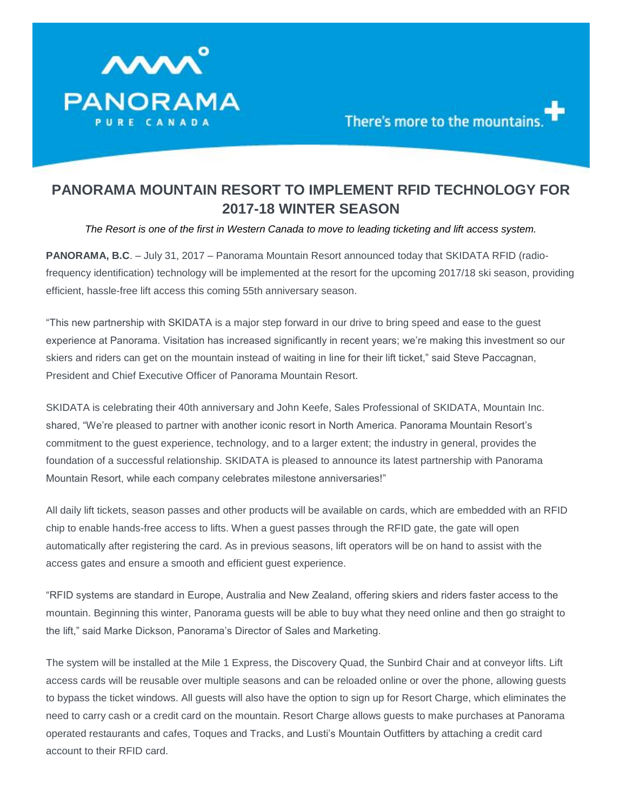

## **PANORAMA MOUNTAIN RESORT TO IMPLEMENT RFID TECHNOLOGY FOR 2017-18 WINTER SEASON**

*The Resort is one of the first in Western Canada to move to leading ticketing and lift access system.*

**PANORAMA, B.C**. – July 31, 2017 – Panorama Mountain Resort announced today that SKIDATA RFID (radiofrequency identification) technology will be implemented at the resort for the upcoming 2017/18 ski season, providing efficient, hassle-free lift access this coming 55th anniversary season.

"This new partnership with SKIDATA is a major step forward in our drive to bring speed and ease to the guest experience at Panorama. Visitation has increased significantly in recent years; we're making this investment so our skiers and riders can get on the mountain instead of waiting in line for their lift ticket," said Steve Paccagnan, President and Chief Executive Officer of Panorama Mountain Resort.

SKIDATA is celebrating their 40th anniversary and John Keefe, Sales Professional of SKIDATA, Mountain Inc. shared, "We're pleased to partner with another iconic resort in North America. Panorama Mountain Resort's commitment to the guest experience, technology, and to a larger extent; the industry in general, provides the foundation of a successful relationship. SKIDATA is pleased to announce its latest partnership with Panorama Mountain Resort, while each company celebrates milestone anniversaries!"

All daily lift tickets, season passes and other products will be available on cards, which are embedded with an RFID chip to enable hands-free access to lifts. When a guest passes through the RFID gate, the gate will open automatically after registering the card. As in previous seasons, lift operators will be on hand to assist with the access gates and ensure a smooth and efficient guest experience.

"RFID systems are standard in Europe, Australia and New Zealand, offering skiers and riders faster access to the mountain. Beginning this winter, Panorama guests will be able to buy what they need online and then go straight to the lift," said Marke Dickson, Panorama's Director of Sales and Marketing.

The system will be installed at the Mile 1 Express, the Discovery Quad, the Sunbird Chair and at conveyor lifts. Lift access cards will be reusable over multiple seasons and can be reloaded online or over the phone, allowing guests to bypass the ticket windows. All guests will also have the option to sign up for Resort Charge, which eliminates the need to carry cash or a credit card on the mountain. Resort Charge allows guests to make purchases at Panorama operated restaurants and cafes, Toques and Tracks, and Lusti's Mountain Outfitters by attaching a credit card account to their RFID card.